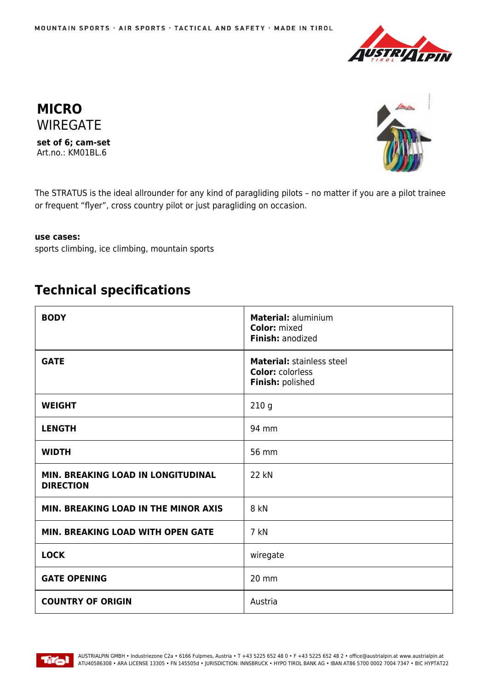



**set of 6; cam-set** Art.no.: KM01BL.6



The STRATUS is the ideal allrounder for any kind of paragliding pilots – no matter if you are a pilot trainee or frequent "flyer", cross country pilot or just paragliding on occasion.

## **use cases:**

sports climbing, ice climbing, mountain sports

## **Technical specifications**

| <b>BODY</b>                                            | <b>Material: aluminium</b><br><b>Color: mixed</b><br>Finish: anodized           |
|--------------------------------------------------------|---------------------------------------------------------------------------------|
| <b>GATE</b>                                            | <b>Material: stainless steel</b><br><b>Color: colorless</b><br>Finish: polished |
| <b>WEIGHT</b>                                          | 210 <sub>g</sub>                                                                |
| <b>LENGTH</b>                                          | 94 mm                                                                           |
| <b>WIDTH</b>                                           | 56 mm                                                                           |
| MIN. BREAKING LOAD IN LONGITUDINAL<br><b>DIRECTION</b> | 22 kN                                                                           |
| MIN. BREAKING LOAD IN THE MINOR AXIS                   | 8 kN                                                                            |
| <b>MIN. BREAKING LOAD WITH OPEN GATE</b>               | 7 kN                                                                            |
| <b>LOCK</b>                                            | wiregate                                                                        |
| <b>GATE OPENING</b>                                    | 20 mm                                                                           |
| <b>COUNTRY OF ORIGIN</b>                               | Austria                                                                         |